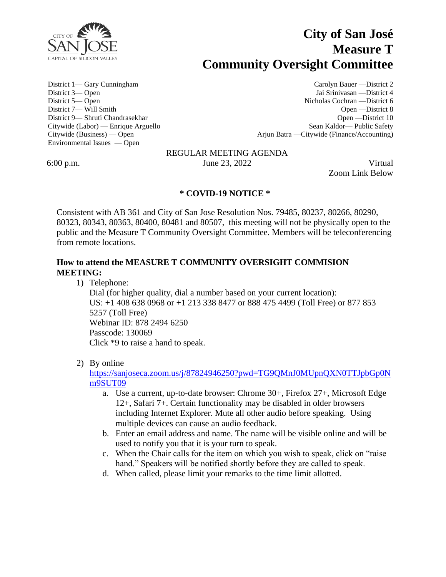

# **City of San José Measure T Community Oversight Committee**

Environmental Issues — Open

District 1— Gary Cunningham Carolyn Bauer —District 2 District 3— Open Jai Srinivasan —District 4 District 5— Open Nicholas Cochran —District 6 District 7— Will Smith Open —District 8 District 9— Shruti Chandrasekhar Open —District 10 Citywide (Labor) — Enrique Arguello Sean Kaldor— Public Safety Citywide (Business) — Open Arjun Batra —Citywide (Finance/Accounting)

# REGULAR MEETING AGENDA

6:00 p.m. June 23, 2022 Virtual

Zoom Link Below

## **\* COVID-19 NOTICE \***

Consistent with AB 361 and City of San Jose Resolution Nos. 79485, 80237, 80266, 80290, 80323, 80343, 80363, 80400, 80481 and 80507, this meeting will not be physically open to the public and the Measure T Community Oversight Committee. Members will be teleconferencing from remote locations.

# **How to attend the MEASURE T COMMUNITY OVERSIGHT COMMISION MEETING:**

1) Telephone:

Dial (for higher quality, dial a number based on your current location): US: +1 408 638 0968 or +1 213 338 8477 or 888 475 4499 (Toll Free) or 877 853 5257 (Toll Free) Webinar ID: 878 2494 6250 Passcode: 130069 Click \*9 to raise a hand to speak.

2) By online

[https://sanjoseca.zoom.us/j/87824946250?pwd=TG9QMnJ0MUpnQXN0TTJpbGp0N](https://sanjoseca.zoom.us/j/87824946250?pwd=TG9QMnJ0MUpnQXN0TTJpbGp0Nm9SUT09) [m9SUT09](https://sanjoseca.zoom.us/j/87824946250?pwd=TG9QMnJ0MUpnQXN0TTJpbGp0Nm9SUT09)

- a. Use a current, up-to-date browser: Chrome 30+, Firefox 27+, Microsoft Edge 12+, Safari 7+. Certain functionality may be disabled in older browsers including Internet Explorer. Mute all other audio before speaking. Using multiple devices can cause an audio feedback.
- b. Enter an email address and name. The name will be visible online and will be used to notify you that it is your turn to speak.
- c. When the Chair calls for the item on which you wish to speak, click on "raise hand." Speakers will be notified shortly before they are called to speak.
- d. When called, please limit your remarks to the time limit allotted.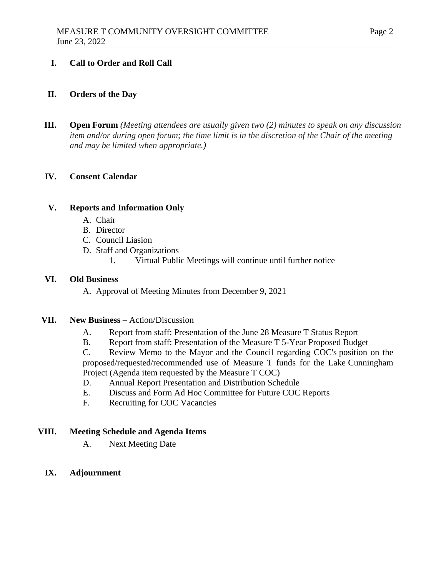#### **I. Call to Order and Roll Call**

#### **II. Orders of the Day**

**III. Open Forum** *(Meeting attendees are usually given two (2) minutes to speak on any discussion item and/or during open forum; the time limit is in the discretion of the Chair of the meeting and may be limited when appropriate.)*

#### **IV. Consent Calendar**

#### **V. Reports and Information Only**

- A. Chair
- B. Director
- C. Council Liasion
- D. Staff and Organizations
	- 1. Virtual Public Meetings will continue until further notice

#### **VI. Old Business**

A. Approval of Meeting Minutes from December 9, 2021

#### **VII. New Business** – Action/Discussion

- A. Report from staff: Presentation of the June 28 Measure T Status Report
- B. Report from staff: Presentation of the Measure T 5-Year Proposed Budget

C. Review Memo to the Mayor and the Council regarding COC's position on the proposed/requested/recommended use of Measure T funds for the Lake Cunningham Project (Agenda item requested by the Measure T COC)

- D. Annual Report Presentation and Distribution Schedule
- E. Discuss and Form Ad Hoc Committee for Future COC Reports
- F. Recruiting for COC Vacancies

#### **VIII. Meeting Schedule and Agenda Items**

A. Next Meeting Date

### **IX. Adjournment**